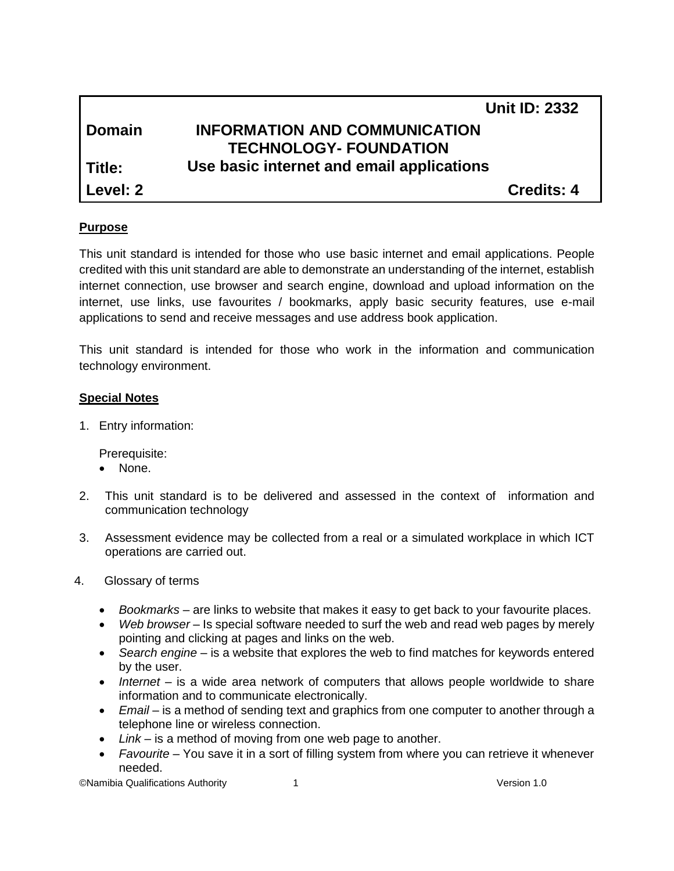|               |                                           | <b>Unit ID: 2332</b> |
|---------------|-------------------------------------------|----------------------|
| <b>Domain</b> | <b>INFORMATION AND COMMUNICATION</b>      |                      |
|               | <b>TECHNOLOGY- FOUNDATION</b>             |                      |
| Title:        | Use basic internet and email applications |                      |
| Level: 2      |                                           | <b>Credits: 4</b>    |

# **Purpose**

This unit standard is intended for those who use basic internet and email applications. People credited with this unit standard are able to demonstrate an understanding of the internet, establish internet connection, use browser and search engine, download and upload information on the internet, use links, use favourites / bookmarks, apply basic security features, use e-mail applications to send and receive messages and use address book application.

This unit standard is intended for those who work in the information and communication technology environment.

### **Special Notes**

1. Entry information:

Prerequisite:

- None.
- 2. This unit standard is to be delivered and assessed in the context of information and communication technology
- 3. Assessment evidence may be collected from a real or a simulated workplace in which ICT operations are carried out.
- 4. Glossary of terms
	- *Bookmarks* are links to website that makes it easy to get back to your favourite places.
	- *Web browser* Is special software needed to surf the web and read web pages by merely pointing and clicking at pages and links on the web.
	- *Search engine* is a website that explores the web to find matches for keywords entered by the user.
	- *Internet* is a wide area network of computers that allows people worldwide to share information and to communicate electronically.
	- *Email* is a method of sending text and graphics from one computer to another through a telephone line or wireless connection.
	- *Link* is a method of moving from one web page to another.
	- *Favourite* You save it in a sort of filling system from where you can retrieve it whenever needed.

©Namibia Qualifications Authority 1 Version 1.0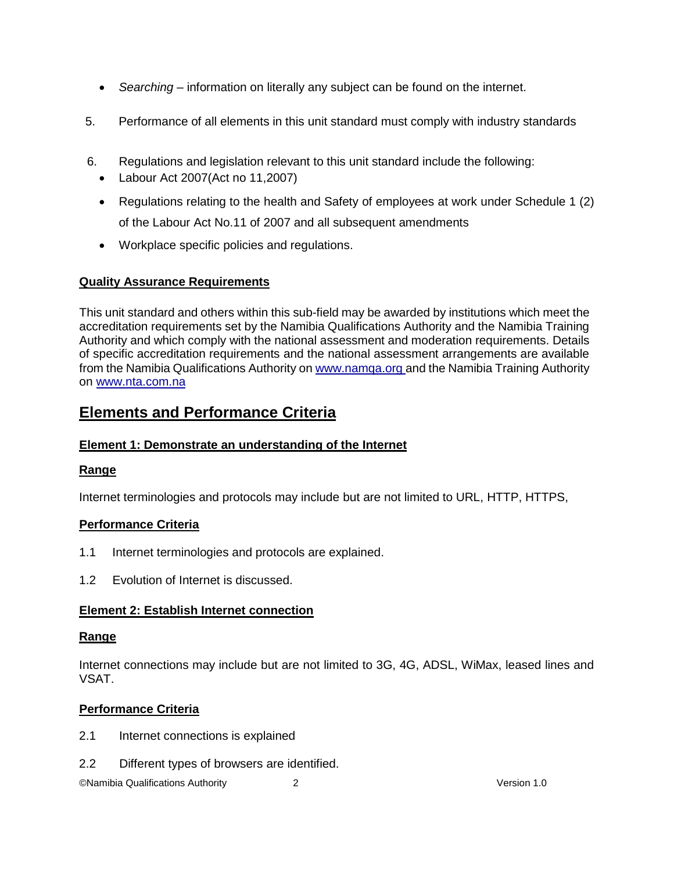- *Searching* information on literally any subject can be found on the internet.
- 5. Performance of all elements in this unit standard must comply with industry standards
- 6. Regulations and legislation relevant to this unit standard include the following:
	- Labour Act 2007(Act no 11,2007)
	- Regulations relating to the health and Safety of employees at work under Schedule 1 (2) of the Labour Act No.11 of 2007 and all subsequent amendments
	- Workplace specific policies and regulations.

# **Quality Assurance Requirements**

This unit standard and others within this sub-field may be awarded by institutions which meet the accreditation requirements set by the Namibia Qualifications Authority and the Namibia Training Authority and which comply with the national assessment and moderation requirements. Details of specific accreditation requirements and the national assessment arrangements are available from the Namibia Qualifications Authority o[n www.namqa.org a](http://www.namqa.org/)nd the Namibia Training Authority on [www.nta.com.na](http://www.nta.com.na/)

# **Elements and Performance Criteria**

# **Element 1: Demonstrate an understanding of the Internet**

# **Range**

Internet terminologies and protocols may include but are not limited to URL, HTTP, HTTPS,

# **Performance Criteria**

- 1.1 Internet terminologies and protocols are explained.
- 1.2 Evolution of Internet is discussed.

# **Element 2: Establish Internet connection**

### **Range**

Internet connections may include but are not limited to 3G, 4G, ADSL, WiMax, leased lines and VSAT.

# **Performance Criteria**

- 2.1 Internet connections is explained
- 2.2 Different types of browsers are identified.

©Namibia Qualifications Authority 2 Version 1.0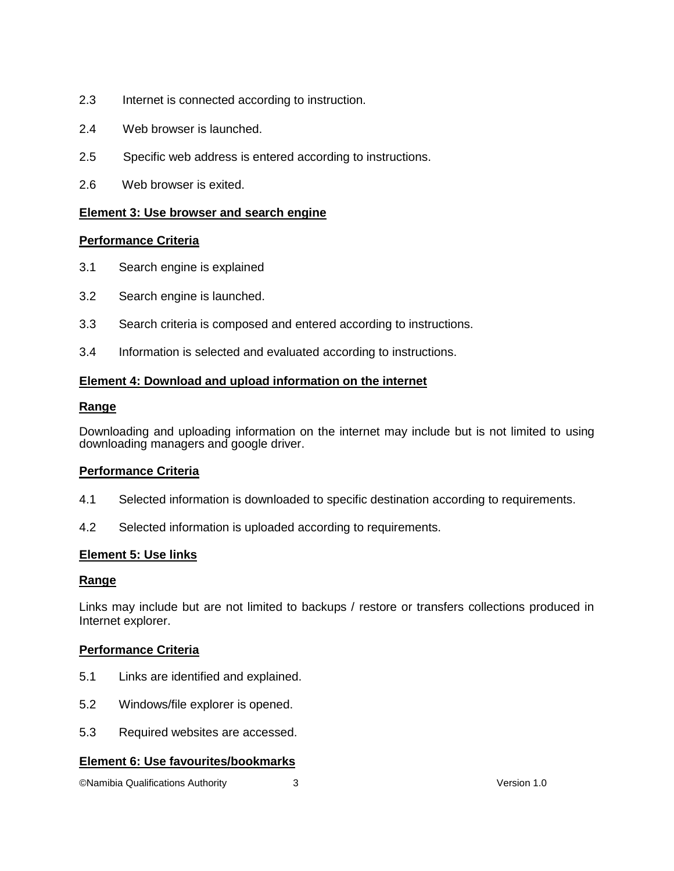- 2.3 Internet is connected according to instruction.
- 2.4 Web browser is launched.
- 2.5 Specific web address is entered according to instructions.
- 2.6 Web browser is exited.

### **Element 3: Use browser and search engine**

#### **Performance Criteria**

- 3.1 Search engine is explained
- 3.2 Search engine is launched.
- 3.3 Search criteria is composed and entered according to instructions.
- 3.4 Information is selected and evaluated according to instructions.

#### **Element 4: Download and upload information on the internet**

#### **Range**

Downloading and uploading information on the internet may include but is not limited to using downloading managers and google driver.

### **Performance Criteria**

- 4.1 Selected information is downloaded to specific destination according to requirements.
- 4.2 Selected information is uploaded according to requirements.

#### **Element 5: Use links**

#### **Range**

Links may include but are not limited to backups / restore or transfers collections produced in Internet explorer.

#### **Performance Criteria**

- 5.1 Links are identified and explained.
- 5.2 Windows/file explorer is opened.
- 5.3 Required websites are accessed.

#### **Element 6: Use favourites/bookmarks**

©Namibia Qualifications Authority 3 Version 1.0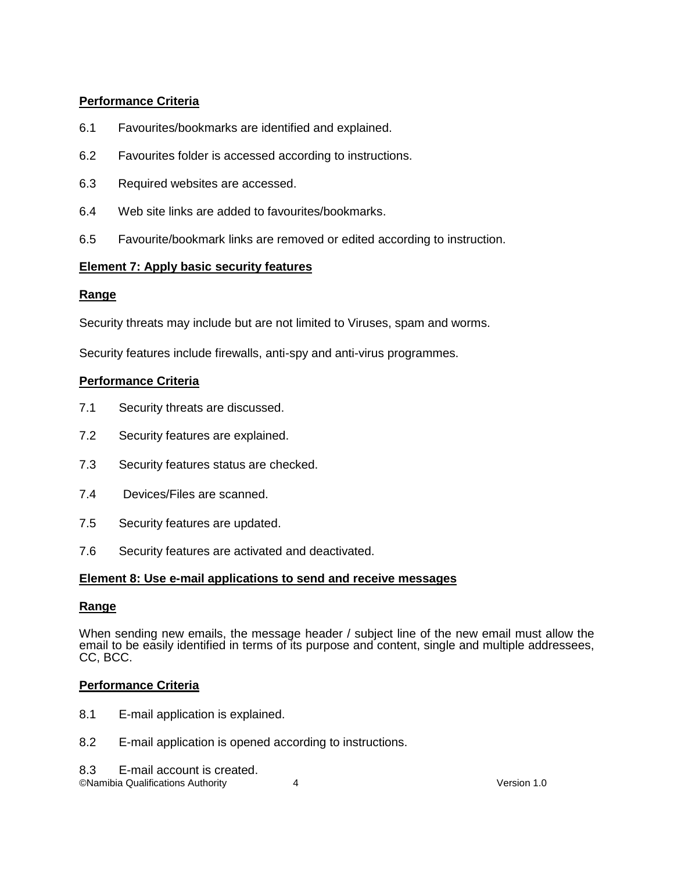# **Performance Criteria**

- 6.1 Favourites/bookmarks are identified and explained.
- 6.2 Favourites folder is accessed according to instructions.
- 6.3 Required websites are accessed.
- 6.4 Web site links are added to favourites/bookmarks.
- 6.5 Favourite/bookmark links are removed or edited according to instruction.

### **Element 7: Apply basic security features**

# **Range**

Security threats may include but are not limited to Viruses, spam and worms.

Security features include firewalls, anti-spy and anti-virus programmes.

### **Performance Criteria**

- 7.1 Security threats are discussed.
- 7.2 Security features are explained.
- 7.3 Security features status are checked.
- 7.4 Devices/Files are scanned.
- 7.5 Security features are updated.
- 7.6 Security features are activated and deactivated.

### **Element 8: Use e-mail applications to send and receive messages**

### **Range**

When sending new emails, the message header / subject line of the new email must allow the email to be easily identified in terms of its purpose and content, single and multiple addressees, CC, BCC.

### **Performance Criteria**

- 8.1 E-mail application is explained.
- 8.2 E-mail application is opened according to instructions.
- 8.3 E-mail account is created.